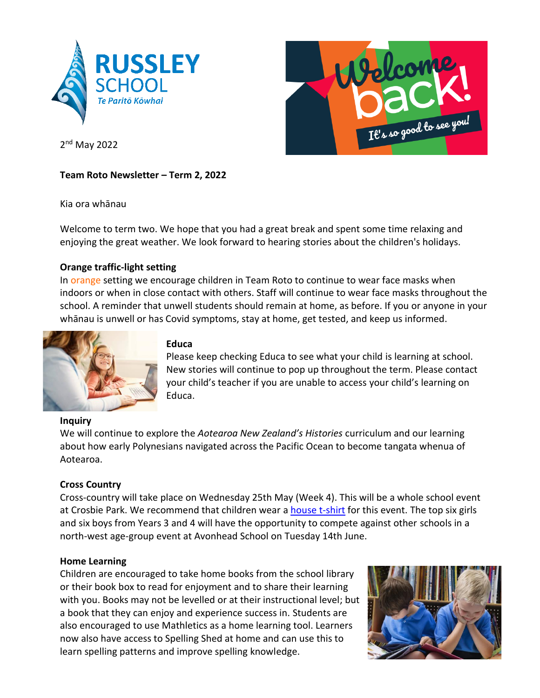



2<sup>nd</sup> May 2022

## **Team Roto Newsletter – Term 2, 2022**

Kia ora whānau

Welcome to term two. We hope that you had a great break and spent some time relaxing and enjoying the great weather. We look forward to hearing stories about the children's holidays.

# **Orange traffic-light setting**

In orange setting we encourage children in Team Roto to continue to wear face masks when indoors or when in close contact with others. Staff will continue to wear face masks throughout the school. A reminder that unwell students should remain at home, as before. If you or anyone in your whānau is unwell or has Covid symptoms, stay at home, get tested, and keep us informed.



# **Inquiry**

## **Educa**

Please keep checking Educa to see what your child is learning at school. New stories will continue to pop up throughout the term. Please contact your child's teacher if you are unable to access your child's learning on Educa.

We will continue to explore the *Aotearoa New Zealand's Histories* curriculum and our learning about how early Polynesians navigated across the Pacific Ocean to become tangata whenua of Aotearoa.

# **Cross Country**

Cross-country will take place on Wednesday 25th May (Week 4). This will be a whole school event at Crosbie Park. We recommend that children wear a [house t-shirt](https://www.mainlanduniforms.nz/russley-primary/850-4744-house-t-shirts-russley.html#/color-red/size-4) for this event. The top six girls and six boys from Years 3 and 4 will have the opportunity to compete against other schools in a north-west age-group event at Avonhead School on Tuesday 14th June.

# **Home Learning**

Children are encouraged to take home books from the school library or their book box to read for enjoyment and to share their learning with you. Books may not be levelled or at their instructional level; but a book that they can enjoy and experience success in. Students are also encouraged to use Mathletics as a home learning tool. Learners now also have access to Spelling Shed at home and can use this to learn spelling patterns and improve spelling knowledge.